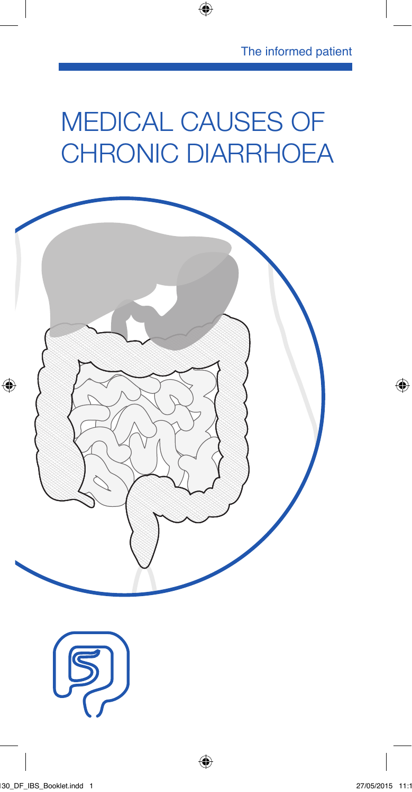# MEDICAL CAUSES OF CHRONIC DIARRHOEA

 $\bigoplus$ 



 $\bigoplus$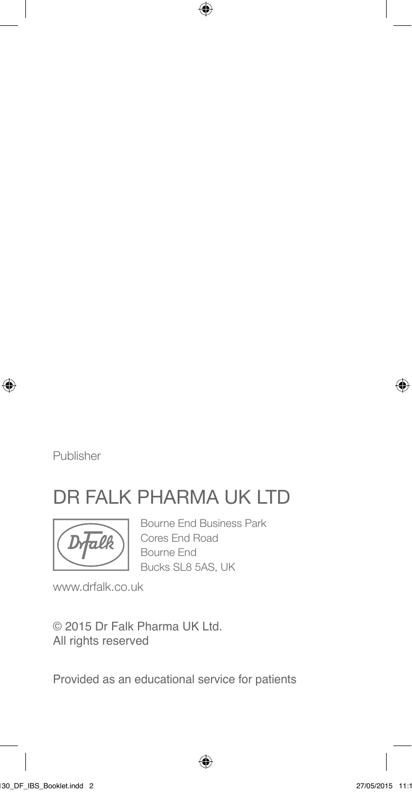

Publisher

⊕

### DR FALK PHARMA UK LTD



Bourne End Business Park Cores End Road Bourne End Bucks SL8 5AS, UK

⊕

 $\bigoplus$ 

www.drfalk.co.uk

© 2015 Dr Falk Pharma UK Ltd. All rights reserved

Provided as an educational service for patients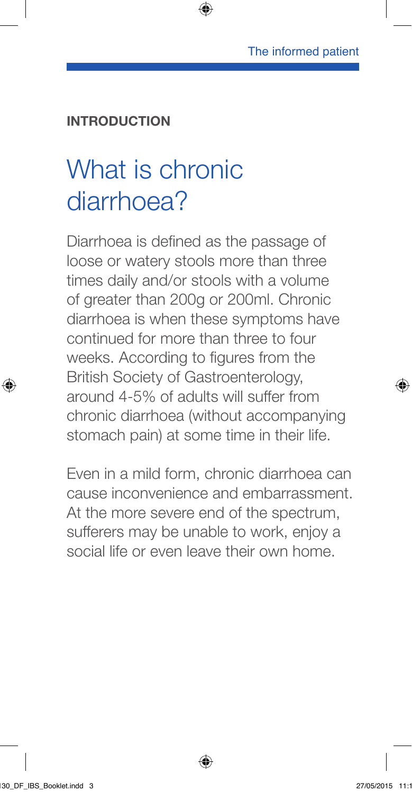### **INTRODUCTION**

# What is chronic diarrhoea?

Diarrhoea is defined as the passage of loose or watery stools more than three times daily and/or stools with a volume of greater than 200g or 200ml. Chronic diarrhoea is when these symptoms have continued for more than three to four weeks. According to figures from the British Society of Gastroenterology, around 4-5% of adults will suffer from chronic diarrhoea (without accompanying stomach pain) at some time in their life.

⊕

Even in a mild form, chronic diarrhoea can cause inconvenience and embarrassment. At the more severe end of the spectrum, sufferers may be unable to work, enjoy a social life or even leave their own home.

⊕

⊕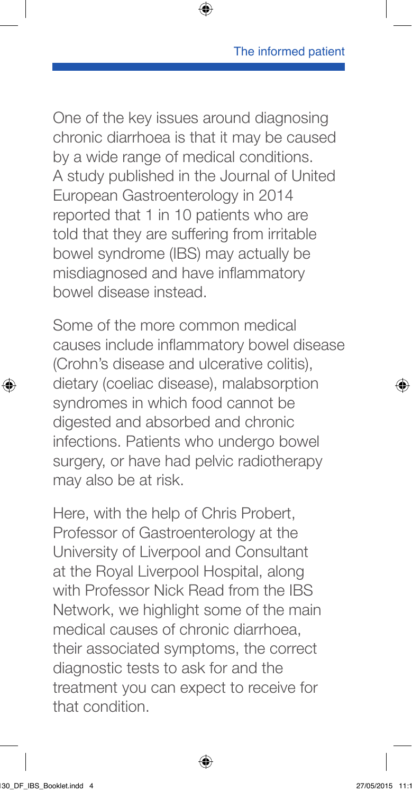One of the key issues around diagnosing chronic diarrhoea is that it may be caused by a wide range of medical conditions. A study published in the Journal of United European Gastroenterology in 2014 reported that 1 in 10 patients who are told that they are suffering from irritable bowel syndrome (IBS) may actually be misdiagnosed and have inflammatory bowel disease instead.

 $\bigoplus$ 

Some of the more common medical causes include inflammatory bowel disease (Crohn's disease and ulcerative colitis), dietary (coeliac disease), malabsorption syndromes in which food cannot be digested and absorbed and chronic infections. Patients who undergo bowel surgery, or have had pelvic radiotherapy may also be at risk.

Here, with the help of Chris Probert, Professor of Gastroenterology at the University of Liverpool and Consultant at the Royal Liverpool Hospital, along with Professor Nick Read from the IBS Network, we highlight some of the main medical causes of chronic diarrhoea, their associated symptoms, the correct diagnostic tests to ask for and the treatment you can expect to receive for that condition.

⊕

⊕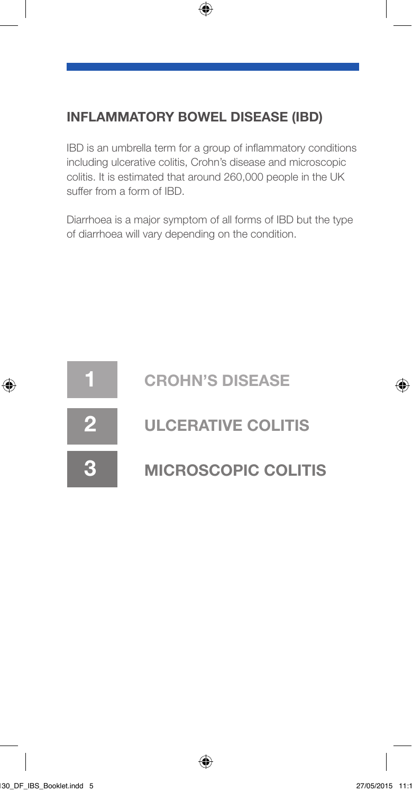#### **INFLAMMATORY BOWEL DISEASE (IBD)**

 $\bigoplus$ 

IBD is an umbrella term for a group of inflammatory conditions including ulcerative colitis, Crohn's disease and microscopic colitis. It is estimated that around 260,000 people in the UK suffer from a form of IBD.

Diarrhoea is a major symptom of all forms of IBD but the type of diarrhoea will vary depending on the condition.



⊕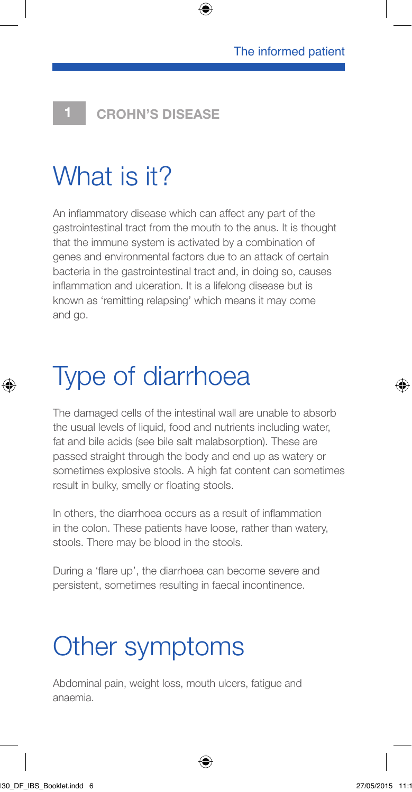### **CROHN'S DISEASE**

## What is it?

An inflammatory disease which can affect any part of the gastrointestinal tract from the mouth to the anus. It is thought that the immune system is activated by a combination of genes and environmental factors due to an attack of certain bacteria in the gastrointestinal tract and, in doing so, causes inflammation and ulceration. It is a lifelong disease but is known as 'remitting relapsing' which means it may come and go.

⊕

## Type of diarrhoea

The damaged cells of the intestinal wall are unable to absorb the usual levels of liquid, food and nutrients including water, fat and bile acids (see bile salt malabsorption). These are passed straight through the body and end up as watery or sometimes explosive stools. A high fat content can sometimes result in bulky, smelly or floating stools.

In others, the diarrhoea occurs as a result of inflammation in the colon. These patients have loose, rather than watery, stools. There may be blood in the stools.

During a 'flare up', the diarrhoea can become severe and persistent, sometimes resulting in faecal incontinence.

## Other symptoms

Abdominal pain, weight loss, mouth ulcers, fatigue and anaemia.

⊕

14130\_DF\_IBS\_Booklet.indd 6 27/05/2015 11:11

⊕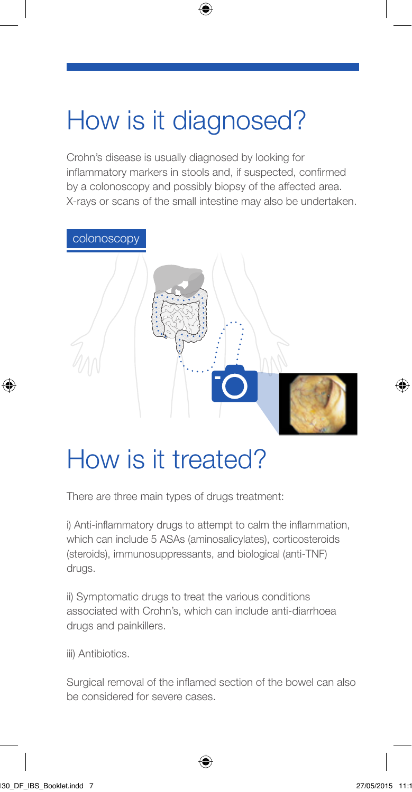## How is it diagnosed?

Crohn's disease is usually diagnosed by looking for inflammatory markers in stools and, if suspected, confirmed by a colonoscopy and possibly biopsy of the affected area. X-rays or scans of the small intestine may also be undertaken.



There are three main types of drugs treatment:

i) Anti-inflammatory drugs to attempt to calm the inflammation, which can include 5 ASAs (aminosalicylates), corticosteroids (steroids), immunosuppressants, and biological (anti-TNF) drugs.

ii) Symptomatic drugs to treat the various conditions associated with Crohn's, which can include anti-diarrhoea drugs and painkillers.

iii) Antibiotics.

colonoscopy

Surgical removal of the inflamed section of the bowel can also be considered for severe cases.

⊕

 $\bigoplus$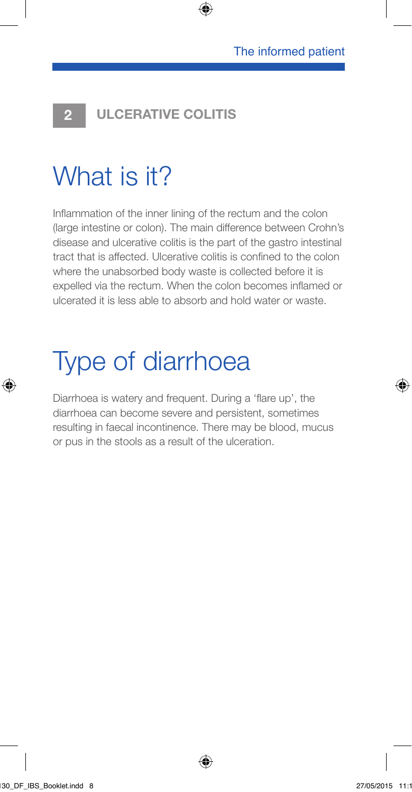#### **ULCERATIVE COLITIS 2**

## What is it?

Inflammation of the inner lining of the rectum and the colon (large intestine or colon). The main difference between Crohn's disease and ulcerative colitis is the part of the gastro intestinal tract that is affected. Ulcerative colitis is confined to the colon where the unabsorbed body waste is collected before it is expelled via the rectum. When the colon becomes inflamed or ulcerated it is less able to absorb and hold water or waste.

⊕

## Type of diarrhoea

Diarrhoea is watery and frequent. During a 'flare up', the diarrhoea can become severe and persistent, sometimes resulting in faecal incontinence. There may be blood, mucus or pus in the stools as a result of the ulceration.

⊕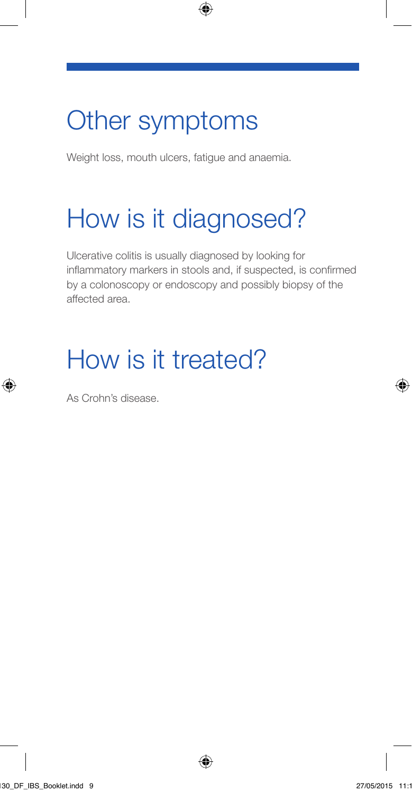## Other symptoms

Weight loss, mouth ulcers, fatigue and anaemia.

⊕

# How is it diagnosed?

Ulcerative colitis is usually diagnosed by looking for inflammatory markers in stools and, if suspected, is confirmed by a colonoscopy or endoscopy and possibly biopsy of the affected area.

## How is it treated?

As Crohn's disease.

⊕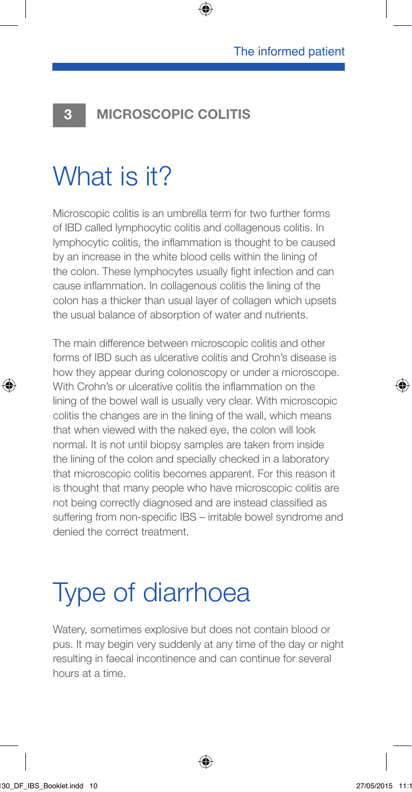#### **MICROSCOPIC COLITIS 3**

## What is it?

Microscopic colitis is an umbrella term for two further forms of IBD called lymphocytic colitis and collagenous colitis. In lymphocytic colitis, the inflammation is thought to be caused by an increase in the white blood cells within the lining of the colon. These lymphocytes usually fight infection and can cause inflammation. In collagenous colitis the lining of the colon has a thicker than usual layer of collagen which upsets the usual balance of absorption of water and nutrients.

⊕

The main difference between microscopic colitis and other forms of IBD such as ulcerative colitis and Crohn's disease is how they appear during colonoscopy or under a microscope. With Crohn's or ulcerative colitis the inflammation on the lining of the bowel wall is usually very clear. With microscopic colitis the changes are in the lining of the wall, which means that when viewed with the naked eye, the colon will look normal. It is not until biopsy samples are taken from inside the lining of the colon and specially checked in a laboratory that microscopic colitis becomes apparent. For this reason it is thought that many people who have microscopic colitis are not being correctly diagnosed and are instead classified as suffering from non-specific IBS – irritable bowel syndrome and denied the correct treatment.

# Type of diarrhoea

Watery, sometimes explosive but does not contain blood or pus. It may begin very suddenly at any time of the day or night resulting in faecal incontinence and can continue for several hours at a time.

⊕

14130\_DF\_IBS\_Booklet.indd 10 27/05/2015 11:11

⊕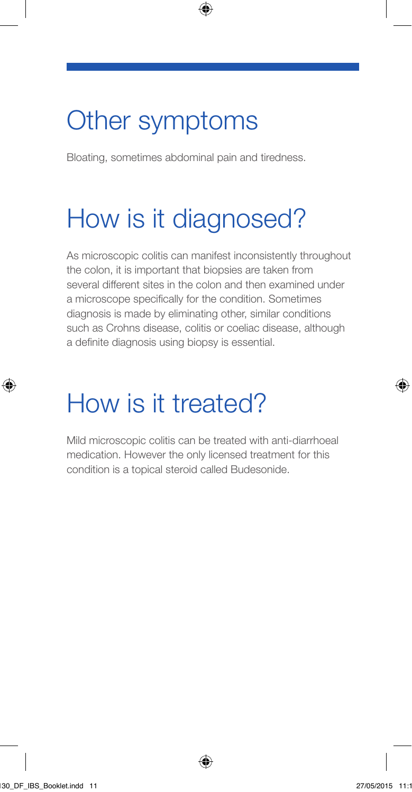### Other symptoms

Bloating, sometimes abdominal pain and tiredness.

⊕

# How is it diagnosed?

As microscopic colitis can manifest inconsistently throughout the colon, it is important that biopsies are taken from several different sites in the colon and then examined under a microscope specifically for the condition. Sometimes diagnosis is made by eliminating other, similar conditions such as Crohns disease, colitis or coeliac disease, although a definite diagnosis using biopsy is essential.

## How is it treated?

Mild microscopic colitis can be treated with anti-diarrhoeal medication. However the only licensed treatment for this condition is a topical steroid called Budesonide.

⊕

⊕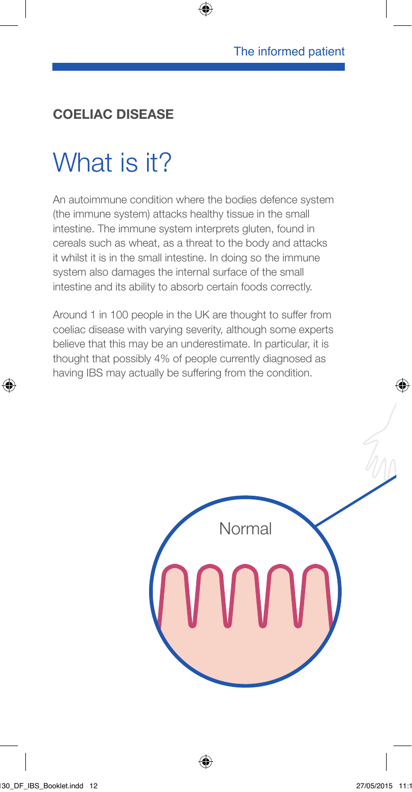

#### The informed patient

#### **COELIAC DISEASE**

### What is it?

An autoimmune condition where the bodies defence system (the immune system) attacks healthy tissue in the small intestine. The immune system interprets gluten, found in cereals such as wheat, as a threat to the body and attacks it whilst it is in the small intestine. In doing so the immune system also damages the internal surface of the small intestine and its ability to absorb certain foods correctly.

Around 1 in 100 people in the UK are thought to suffer from coeliac disease with varying severity, although some experts believe that this may be an underestimate. In particular, it is thought that possibly 4% of people currently diagnosed as having IBS may actually be suffering from the condition.



⊕

⊕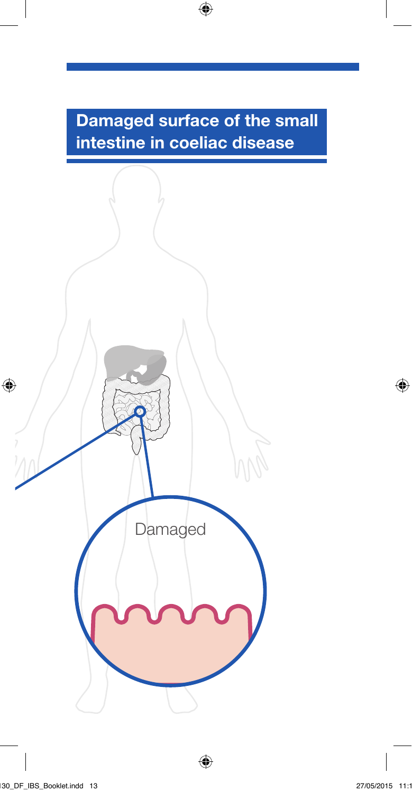### **Damaged surface of the small intestine in coeliac disease**

 $\bigoplus$ 



 $\bigoplus$ 

 $\bigoplus$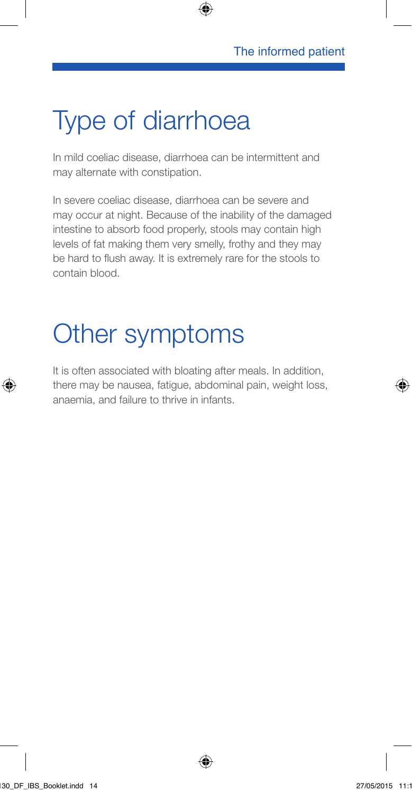## Type of diarrhoea

In mild coeliac disease, diarrhoea can be intermittent and may alternate with constipation.

In severe coeliac disease, diarrhoea can be severe and may occur at night. Because of the inability of the damaged intestine to absorb food properly, stools may contain high levels of fat making them very smelly, frothy and they may be hard to flush away. It is extremely rare for the stools to contain blood.

## Other symptoms

It is often associated with bloating after meals. In addition, there may be nausea, fatigue, abdominal pain, weight loss, anaemia, and failure to thrive in infants.

⊕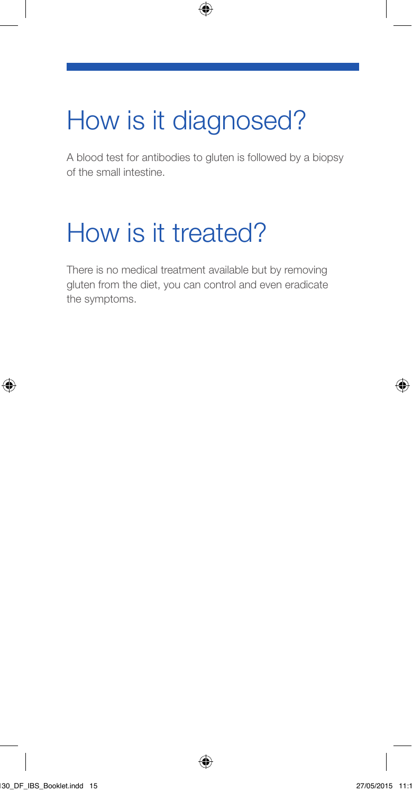# How is it diagnosed?

A blood test for antibodies to gluten is followed by a biopsy of the small intestine.

 $\bigoplus$ 

## How is it treated?

There is no medical treatment available but by removing gluten from the diet, you can control and even eradicate the symptoms.

⊕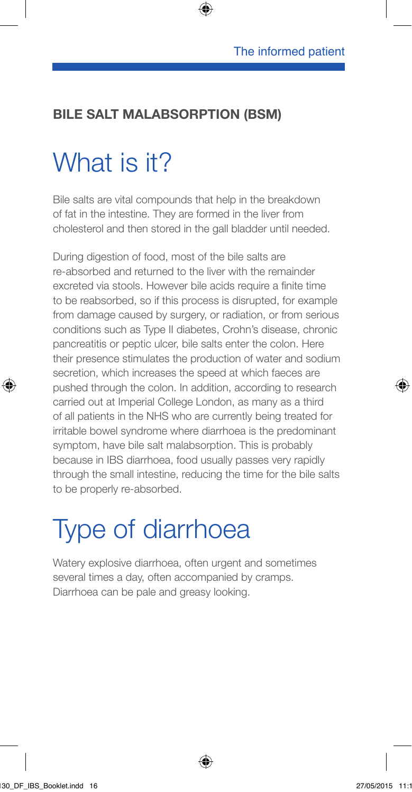#### **BILE SALT MALABSORPTION (BSM)**

## What is it?

Bile salts are vital compounds that help in the breakdown of fat in the intestine. They are formed in the liver from cholesterol and then stored in the gall bladder until needed.

⊕

During digestion of food, most of the bile salts are re-absorbed and returned to the liver with the remainder excreted via stools. However bile acids require a finite time to be reabsorbed, so if this process is disrupted, for example from damage caused by surgery, or radiation, or from serious conditions such as Type II diabetes, Crohn's disease, chronic pancreatitis or peptic ulcer, bile salts enter the colon. Here their presence stimulates the production of water and sodium secretion, which increases the speed at which faeces are pushed through the colon. In addition, according to research carried out at Imperial College London, as many as a third of all patients in the NHS who are currently being treated for irritable bowel syndrome where diarrhoea is the predominant symptom, have bile salt malabsorption. This is probably because in IBS diarrhoea, food usually passes very rapidly through the small intestine, reducing the time for the bile salts to be properly re-absorbed.

## Type of diarrhoea

Watery explosive diarrhoea, often urgent and sometimes several times a day, often accompanied by cramps. Diarrhoea can be pale and greasy looking.

⊕

⊕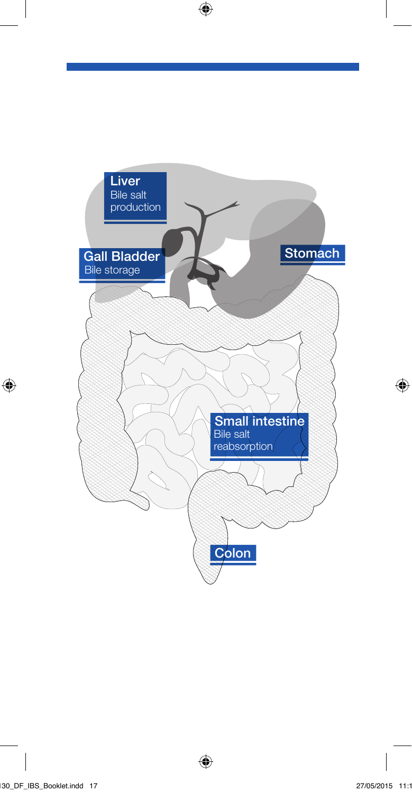

 $\bigoplus$ 

 $\bigoplus$ 

 $\bigoplus$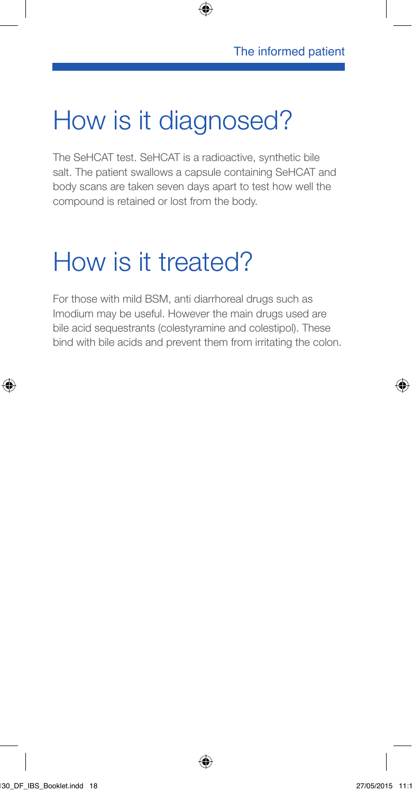## How is it diagnosed?

The SeHCAT test. SeHCAT is a radioactive, synthetic bile salt. The patient swallows a capsule containing SeHCAT and body scans are taken seven days apart to test how well the compound is retained or lost from the body.

⊕

## How is it treated?

For those with mild BSM, anti diarrhoreal drugs such as Imodium may be useful. However the main drugs used are bile acid sequestrants (colestyramine and colestipol). These bind with bile acids and prevent them from irritating the colon.

⊕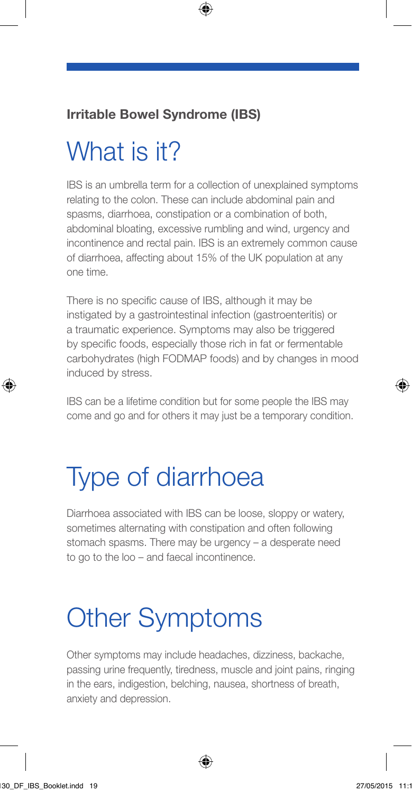#### **Irritable Bowel Syndrome (IBS)**

## What is it?

IBS is an umbrella term for a collection of unexplained symptoms relating to the colon. These can include abdominal pain and spasms, diarrhoea, constipation or a combination of both, abdominal bloating, excessive rumbling and wind, urgency and incontinence and rectal pain. IBS is an extremely common cause of diarrhoea, affecting about 15% of the UK population at any one time.

⊕

There is no specific cause of IBS, although it may be instigated by a gastrointestinal infection (gastroenteritis) or a traumatic experience. Symptoms may also be triggered by specific foods, especially those rich in fat or fermentable carbohydrates (high FODMAP foods) and by changes in mood induced by stress.

IBS can be a lifetime condition but for some people the IBS may come and go and for others it may just be a temporary condition.

## Type of diarrhoea

Diarrhoea associated with IBS can be loose, sloppy or watery, sometimes alternating with constipation and often following stomach spasms. There may be urgency – a desperate need to go to the loo – and faecal incontinence.

## Other Symptoms

Other symptoms may include headaches, dizziness, backache, passing urine frequently, tiredness, muscle and joint pains, ringing in the ears, indigestion, belching, nausea, shortness of breath, anxiety and depression.

⊕

14130\_DF\_IBS\_Booklet.indd 19 27/05/2015 11:11

⊕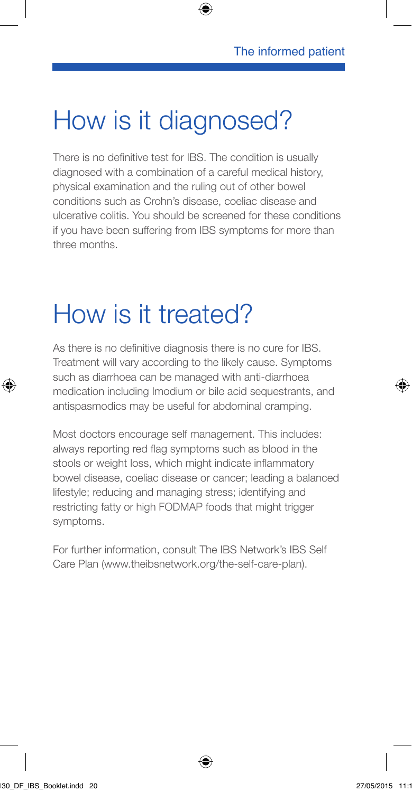## How is it diagnosed?

There is no definitive test for IBS. The condition is usually diagnosed with a combination of a careful medical history, physical examination and the ruling out of other bowel conditions such as Crohn's disease, coeliac disease and ulcerative colitis. You should be screened for these conditions if you have been suffering from IBS symptoms for more than three months.

⊕

## How is it treated?

As there is no definitive diagnosis there is no cure for IBS. Treatment will vary according to the likely cause. Symptoms such as diarrhoea can be managed with anti-diarrhoea medication including Imodium or bile acid sequestrants, and antispasmodics may be useful for abdominal cramping.

Most doctors encourage self management. This includes: always reporting red flag symptoms such as blood in the stools or weight loss, which might indicate inflammatory bowel disease, coeliac disease or cancer; leading a balanced lifestyle; reducing and managing stress; identifying and restricting fatty or high FODMAP foods that might trigger symptoms.

For further information, consult The IBS Network's IBS Self Care Plan (www.theibsnetwork.org/the-self-care-plan).

⊕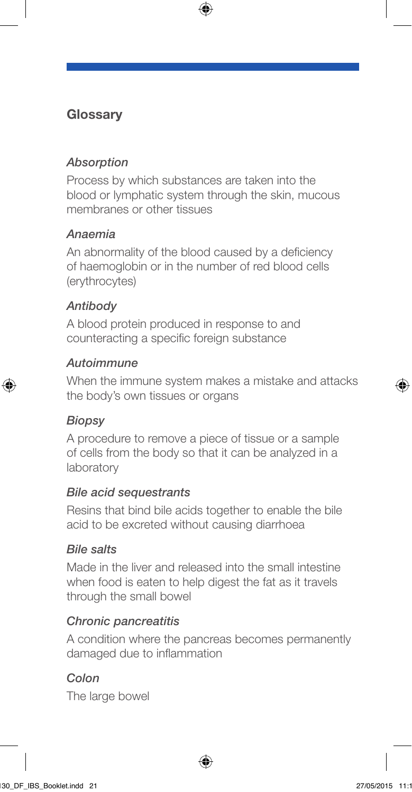#### **Glossary**

#### *Absorption*

Process by which substances are taken into the blood or lymphatic system through the skin, mucous membranes or other tissues

⊕

#### *Anaemia*

An abnormality of the blood caused by a deficiency of haemoglobin or in the number of red blood cells (erythrocytes)

#### *Antibody*

A blood protein produced in response to and counteracting a specific foreign substance

#### *Autoimmune*

When the immune system makes a mistake and attacks the body's own tissues or organs

#### *Biopsy*

⊕

A procedure to remove a piece of tissue or a sample of cells from the body so that it can be analyzed in a laboratory

#### *Bile acid sequestrants*

Resins that bind bile acids together to enable the bile acid to be excreted without causing diarrhoea

#### *Bile salts*

Made in the liver and released into the small intestine when food is eaten to help digest the fat as it travels through the small bowel

#### *Chronic pancreatitis*

A condition where the pancreas becomes permanently damaged due to inflammation

⊕

#### *Colon*

The large bowel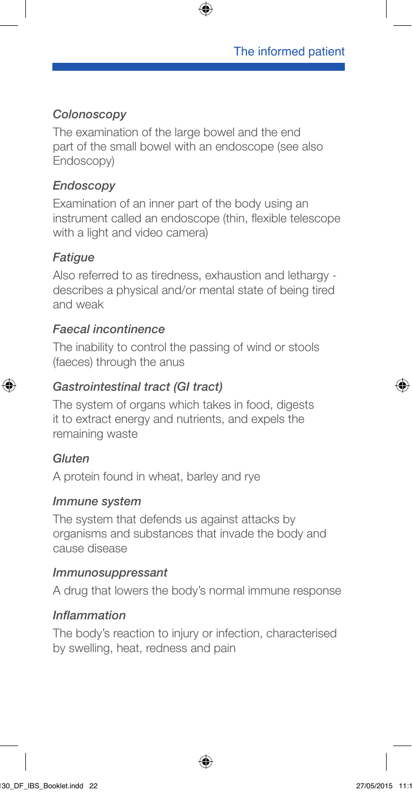#### The informed patient

#### *Colonoscopy*

The examination of the large bowel and the end part of the small bowel with an endoscope (see also Endoscopy)

⊕

#### *Endoscopy*

Examination of an inner part of the body using an instrument called an endoscope (thin, flexible telescope with a light and video camera)

#### *Fatigue*

Also referred to as tiredness, exhaustion and lethargy describes a physical and/or mental state of being tired and weak

#### *Faecal incontinence*

The inability to control the passing of wind or stools (faeces) through the anus

#### *Gastrointestinal tract (GI tract)*

The system of organs which takes in food, digests it to extract energy and nutrients, and expels the remaining waste

#### *Gluten*

⊕

A protein found in wheat, barley and rye

#### *Immune system*

The system that defends us against attacks by organisms and substances that invade the body and cause disease

#### *Immunosuppressant*

A drug that lowers the body's normal immune response

#### *Inflammation*

The body's reaction to injury or infection, characterised by swelling, heat, redness and pain

⊕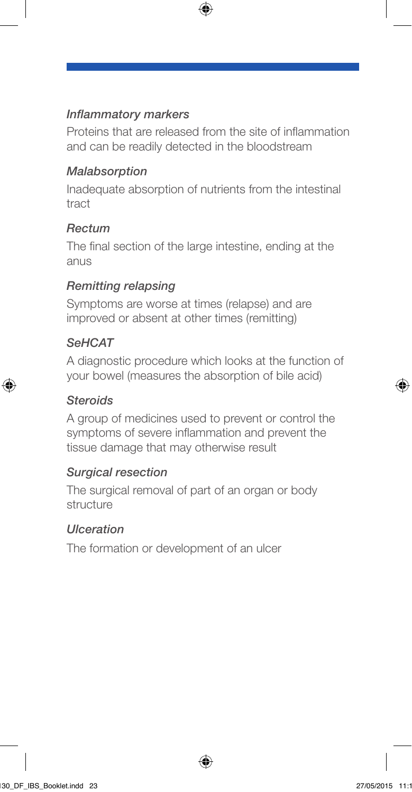#### *Inflammatory markers*

Proteins that are released from the site of inflammation and can be readily detected in the bloodstream

⊕

#### *Malabsorption*

Inadequate absorption of nutrients from the intestinal tract

#### *Rectum*

The final section of the large intestine, ending at the anus

#### *Remitting relapsing*

Symptoms are worse at times (relapse) and are improved or absent at other times (remitting)

#### *SeHCAT*

A diagnostic procedure which looks at the function of your bowel (measures the absorption of bile acid)

#### *Steroids*

⊕

A group of medicines used to prevent or control the symptoms of severe inflammation and prevent the tissue damage that may otherwise result

#### *Surgical resection*

The surgical removal of part of an organ or body structure

#### *Ulceration*

The formation or development of an ulcer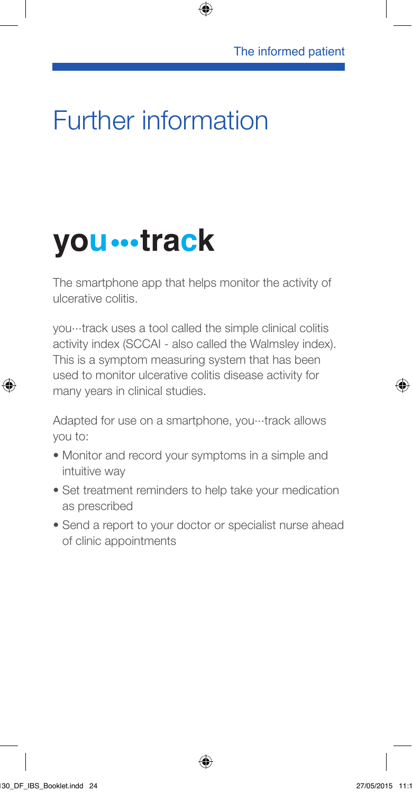## Further information

⊕

# **you...track**

The smartphone app that helps monitor the activity of ulcerative colitis.

you...track uses a tool called the simple clinical colitis activity index (SCCAI - also called the Walmsley index). This is a symptom measuring system that has been used to monitor ulcerative colitis disease activity for many years in clinical studies.

Adapted for use on a smartphone, you...track allows you to:

- Monitor and record your symptoms in a simple and intuitive way
- Set treatment reminders to help take your medication as prescribed
- Send a report to your doctor or specialist nurse ahead of clinic appointments

⊕

⊕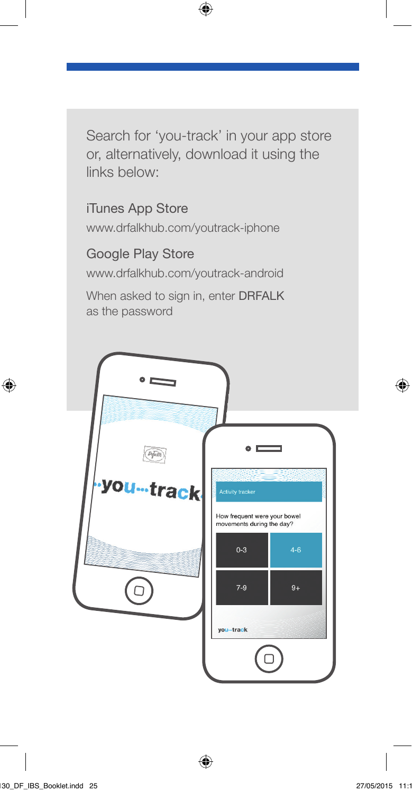Search for 'you-track' in your app store or, alternatively, download it using the links below:

 $\bigoplus$ 

iTunes App Store www.drfalkhub.com/youtrack-iphone

Google Play Store www.drfalkhub.com/youtrack-android

When asked to sign in, enter DRFALK as the password



 $\bigoplus$ 

⊕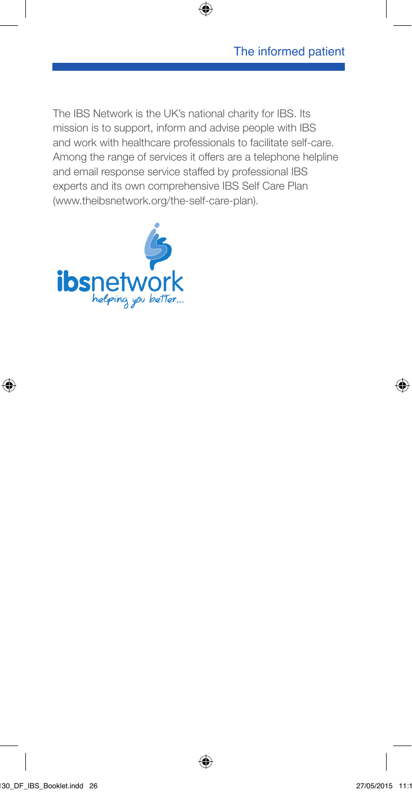

#### The informed patient

The IBS Network is the UK's national charity for IBS. Its mission is to support, inform and advise people with IBS and work with healthcare professionals to facilitate self-care. Among the range of services it offers are a telephone helpline and email response service staffed by professional IBS experts and its own comprehensive IBS Self Care Plan (www.theibsnetwork.org/the-self-care-plan).



⊕

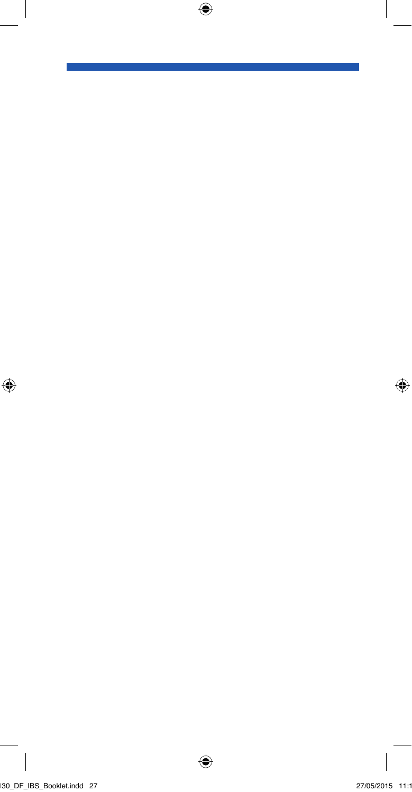

 $\bigoplus$ 



 $\overline{\phantom{a}}$ 

 $\overline{\phantom{a}}$ 



I

 $\bigoplus$